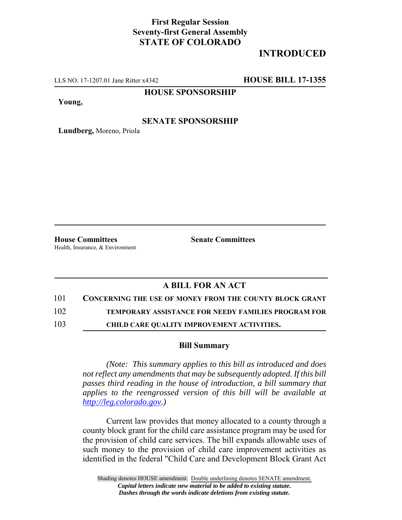# **First Regular Session Seventy-first General Assembly STATE OF COLORADO**

# **INTRODUCED**

LLS NO. 17-1207.01 Jane Ritter x4342 **HOUSE BILL 17-1355**

## **HOUSE SPONSORSHIP**

**Young,**

### **SENATE SPONSORSHIP**

**Lundberg,** Moreno, Priola

**House Committees Senate Committees** Health, Insurance, & Environment

# **A BILL FOR AN ACT**

### 101 **CONCERNING THE USE OF MONEY FROM THE COUNTY BLOCK GRANT**

102 **TEMPORARY ASSISTANCE FOR NEEDY FAMILIES PROGRAM FOR**

103 **CHILD CARE QUALITY IMPROVEMENT ACTIVITIES.**

### **Bill Summary**

*(Note: This summary applies to this bill as introduced and does not reflect any amendments that may be subsequently adopted. If this bill passes third reading in the house of introduction, a bill summary that applies to the reengrossed version of this bill will be available at http://leg.colorado.gov.)*

Current law provides that money allocated to a county through a county block grant for the child care assistance program may be used for the provision of child care services. The bill expands allowable uses of such money to the provision of child care improvement activities as identified in the federal "Child Care and Development Block Grant Act